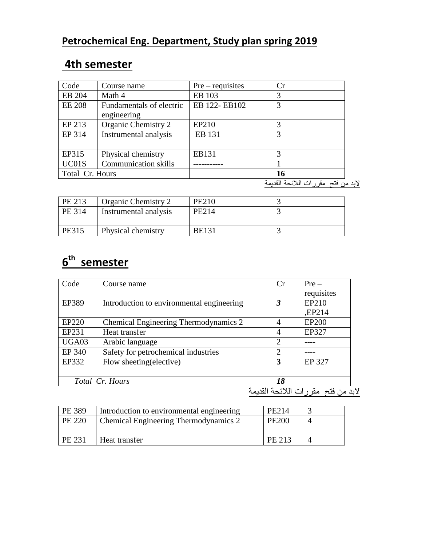#### **Petrochemical Eng. Department, Study plan spring 2019**

#### **4th semester**

| Course name                             | $Pre-requires$ | Cr |
|-----------------------------------------|----------------|----|
| Math 4                                  | EB 103         |    |
| Fundamentals of electric<br>engineering | EB 122-EB102   | 3  |
| Organic Chemistry 2                     | EP210          |    |
| Instrumental analysis                   | EB 131         |    |
| Physical chemistry                      | EB131          |    |
| <b>Communication skills</b>             |                |    |
| Total Cr. Hours                         |                | 16 |
|                                         |                |    |

البد من فتح مقررات الالئحة القديمة

| PE 213 | Organic Chemistry 2   | <b>PE210</b> |  |
|--------|-----------------------|--------------|--|
| PE 314 | Instrumental analysis | PE214        |  |
| PE315  | Physical chemistry    | <b>BE131</b> |  |

## **6 th semester**

| Code                            | Course name                               | Cr             | $Pre-$       |  |
|---------------------------------|-------------------------------------------|----------------|--------------|--|
|                                 |                                           |                | requisites   |  |
| EP389                           | Introduction to environmental engineering | 3              | EP210        |  |
|                                 |                                           |                | ,EP214       |  |
| EP220                           | Chemical Engineering Thermodynamics 2     | 4              | <b>EP200</b> |  |
| EP231                           | Heat transfer                             | 4              | EP327        |  |
| UGA03                           | Arabic language                           | $\overline{2}$ |              |  |
| EP 340                          | Safety for petrochemical industries       | $\overline{2}$ |              |  |
| EP332                           | Flow sheeting (elective)                  | 3              | EP 327       |  |
|                                 |                                           |                |              |  |
| Total Cr. Hours                 |                                           | 18             |              |  |
| من فتح ًمقر رات اللائحة القديمة |                                           |                |              |  |

| <b>PE 389</b> | Introduction to environmental engineering | PE214        |  |
|---------------|-------------------------------------------|--------------|--|
| PE 220        | Chemical Engineering Thermodynamics 2     | <b>PE200</b> |  |
|               |                                           |              |  |
| PE 231        | Heat transfer                             | PE 213       |  |